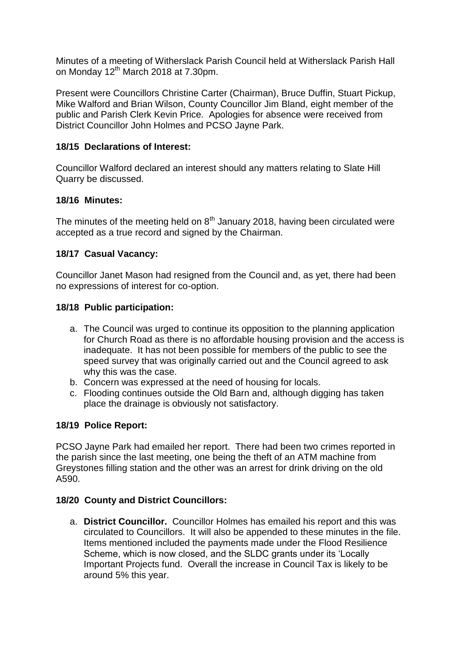Minutes of a meeting of Witherslack Parish Council held at Witherslack Parish Hall on Monday 12<sup>th</sup> March 2018 at 7.30pm.

Present were Councillors Christine Carter (Chairman), Bruce Duffin, Stuart Pickup, Mike Walford and Brian Wilson, County Councillor Jim Bland, eight member of the public and Parish Clerk Kevin Price. Apologies for absence were received from District Councillor John Holmes and PCSO Jayne Park.

# **18/15 Declarations of Interest:**

Councillor Walford declared an interest should any matters relating to Slate Hill Quarry be discussed.

# **18/16 Minutes:**

The minutes of the meeting held on  $8<sup>th</sup>$  January 2018, having been circulated were accepted as a true record and signed by the Chairman.

# **18/17 Casual Vacancy:**

Councillor Janet Mason had resigned from the Council and, as yet, there had been no expressions of interest for co-option.

# **18/18 Public participation:**

- a. The Council was urged to continue its opposition to the planning application for Church Road as there is no affordable housing provision and the access is inadequate. It has not been possible for members of the public to see the speed survey that was originally carried out and the Council agreed to ask why this was the case.
- b. Concern was expressed at the need of housing for locals.
- c. Flooding continues outside the Old Barn and, although digging has taken place the drainage is obviously not satisfactory.

# **18/19 Police Report:**

PCSO Jayne Park had emailed her report. There had been two crimes reported in the parish since the last meeting, one being the theft of an ATM machine from Greystones filling station and the other was an arrest for drink driving on the old A590.

#### **18/20 County and District Councillors:**

a. **District Councillor.** Councillor Holmes has emailed his report and this was circulated to Councillors. It will also be appended to these minutes in the file. Items mentioned included the payments made under the Flood Resilience Scheme, which is now closed, and the SLDC grants under its 'Locally Important Projects fund. Overall the increase in Council Tax is likely to be around 5% this year.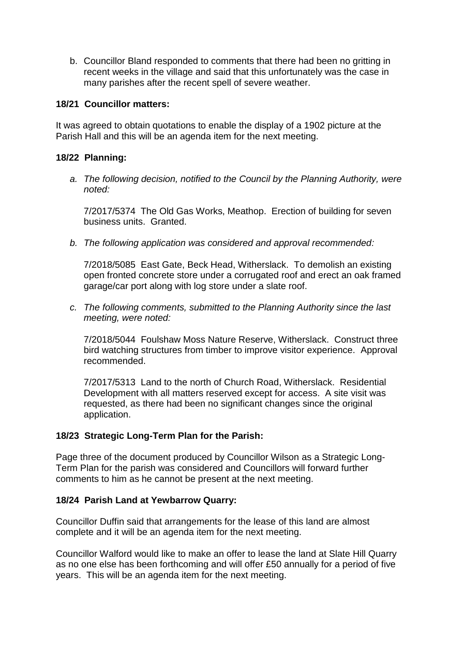b. Councillor Bland responded to comments that there had been no gritting in recent weeks in the village and said that this unfortunately was the case in many parishes after the recent spell of severe weather.

#### **18/21 Councillor matters:**

It was agreed to obtain quotations to enable the display of a 1902 picture at the Parish Hall and this will be an agenda item for the next meeting.

### **18/22 Planning:**

*a. The following decision, notified to the Council by the Planning Authority, were noted:*

7/2017/5374 The Old Gas Works, Meathop. Erection of building for seven business units. Granted.

*b. The following application was considered and approval recommended:*

7/2018/5085 East Gate, Beck Head, Witherslack. To demolish an existing open fronted concrete store under a corrugated roof and erect an oak framed garage/car port along with log store under a slate roof.

*c. The following comments, submitted to the Planning Authority since the last meeting, were noted:*

7/2018/5044 Foulshaw Moss Nature Reserve, Witherslack. Construct three bird watching structures from timber to improve visitor experience. Approval recommended.

7/2017/5313 Land to the north of Church Road, Witherslack. Residential Development with all matters reserved except for access. A site visit was requested, as there had been no significant changes since the original application.

#### **18/23 Strategic Long-Term Plan for the Parish:**

Page three of the document produced by Councillor Wilson as a Strategic Long-Term Plan for the parish was considered and Councillors will forward further comments to him as he cannot be present at the next meeting.

#### **18/24 Parish Land at Yewbarrow Quarry:**

Councillor Duffin said that arrangements for the lease of this land are almost complete and it will be an agenda item for the next meeting.

Councillor Walford would like to make an offer to lease the land at Slate Hill Quarry as no one else has been forthcoming and will offer £50 annually for a period of five years. This will be an agenda item for the next meeting.